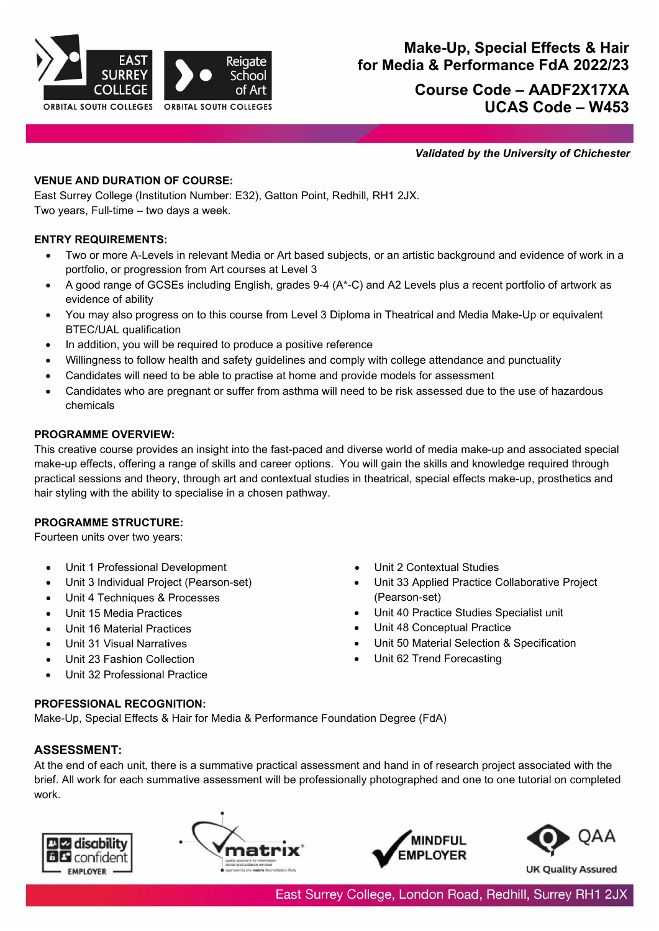

# **Course Code – AADF2X17XA UCAS Code – W453**

*Validated by the University of Chichester*

# **VENUE AND DURATION OF COURSE:**

East Surrey College (Institution Number: E32), Gatton Point, Redhill, RH1 2JX. Two years, Full-time – two days a week.

# **ENTRY REQUIREMENTS:**

- Two or more A-Levels in relevant Media or Art based subjects, or an artistic background and evidence of work in a portfolio, or progression from Art courses at Level 3
- A good range of GCSEs including English, grades 9-4 (A\*-C) and A2 Levels plus a recent portfolio of artwork as evidence of ability
- You may also progress on to this course from Level 3 Diploma in Theatrical and Media Make-Up or equivalent BTEC/UAL qualification
- In addition, you will be required to produce a positive reference
- Willingness to follow health and safety guidelines and comply with college attendance and punctuality
- Candidates will need to be able to practise at home and provide models for assessment
- Candidates who are pregnant or suffer from asthma will need to be risk assessed due to the use of hazardous chemicals

### **PROGRAMME OVERVIEW:**

This creative course provides an insight into the fast-paced and diverse world of media make-up and associated special make-up effects, offering a range of skills and career options. You will gain the skills and knowledge required through practical sessions and theory, through art and contextual studies in theatrical, special effects make-up, prosthetics and hair styling with the ability to specialise in a chosen pathway.

### **PROGRAMME STRUCTURE:**

Fourteen units over two years:

- Unit 1 Professional Development Unit 2 Contextual Studies
- Unit 3 Individual Project (Pearson-set)
- Unit 4 Techniques & Processes
- Unit 15 Media Practices
- Unit 16 Material Practices
- Unit 31 Visual Narratives
- Unit 23 Fashion Collection
- Unit 32 Professional Practice
- 
- Unit 33 Applied Practice Collaborative Project (Pearson-set)
- Unit 40 Practice Studies Specialist unit
- Unit 48 Conceptual Practice
- Unit 50 Material Selection & Specification
- Unit 62 Trend Forecasting

### **PROFESSIONAL RECOGNITION:**

Make-Up, Special Effects & Hair for Media & Performance Foundation Degree (FdA)

# **ASSESSMENT:**

At the end of each unit, there is a summative practical assessment and hand in of research project associated with the brief. All work for each summative assessment will be professionally photographed and one to one tutorial on completed work.